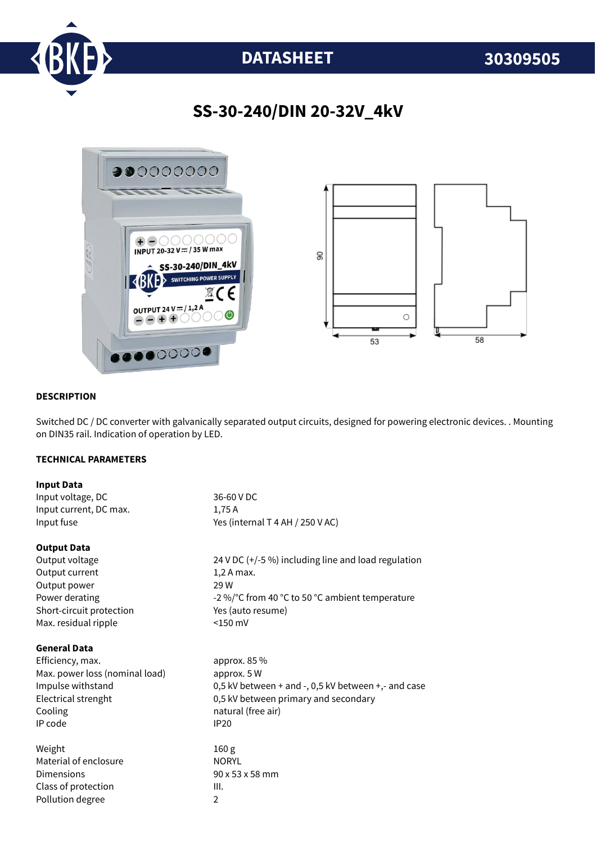

# **DATASHEET 30309505**

## **SS-30-240/DIN 20-32V\_4kV**



#### **DESCRIPTION**

Switched DC / DC converter with galvanically separated output circuits, designed for powering electronic devices. . Mounting on DIN35 rail. Indication of operation by LED.

### **TECHNICAL PARAMETERS**

| <b>Input Data</b>              |                                                     |
|--------------------------------|-----------------------------------------------------|
| Input voltage, DC              | 36-60 V DC                                          |
| Input current, DC max.         | 1,75A                                               |
| Input fuse                     | Yes (internal T 4 AH / 250 V AC)                    |
| <b>Output Data</b>             |                                                     |
| Output voltage                 | 24 V DC (+/-5 %) including line and load regulation |
| Output current                 | $1,2A$ max.                                         |
| Output power                   | 29 W                                                |
| Power derating                 | -2 %/°C from 40 °C to 50 °C ambient temperature     |
| Short-circuit protection       | Yes (auto resume)                                   |
| Max. residual ripple           | $<$ 150 mV                                          |
| <b>General Data</b>            |                                                     |
| Efficiency, max.               | approx. 85 %                                        |
| Max. power loss (nominal load) | approx. 5 W                                         |
| Impulse withstand              | 0,5 kV between + and -, 0,5 kV between +,- and case |
| Electrical strenght            | 0,5 kV between primary and secondary                |
| Cooling                        | natural (free air)                                  |
| IP code                        | <b>IP20</b>                                         |
| Weight                         | 160 <sub>g</sub>                                    |
| Material of enclosure          | <b>NORYL</b>                                        |
| Dimensions                     | 90 x 53 x 58 mm                                     |
| Class of protection            | III.                                                |
| Pollution degree               | $\overline{2}$                                      |
|                                |                                                     |